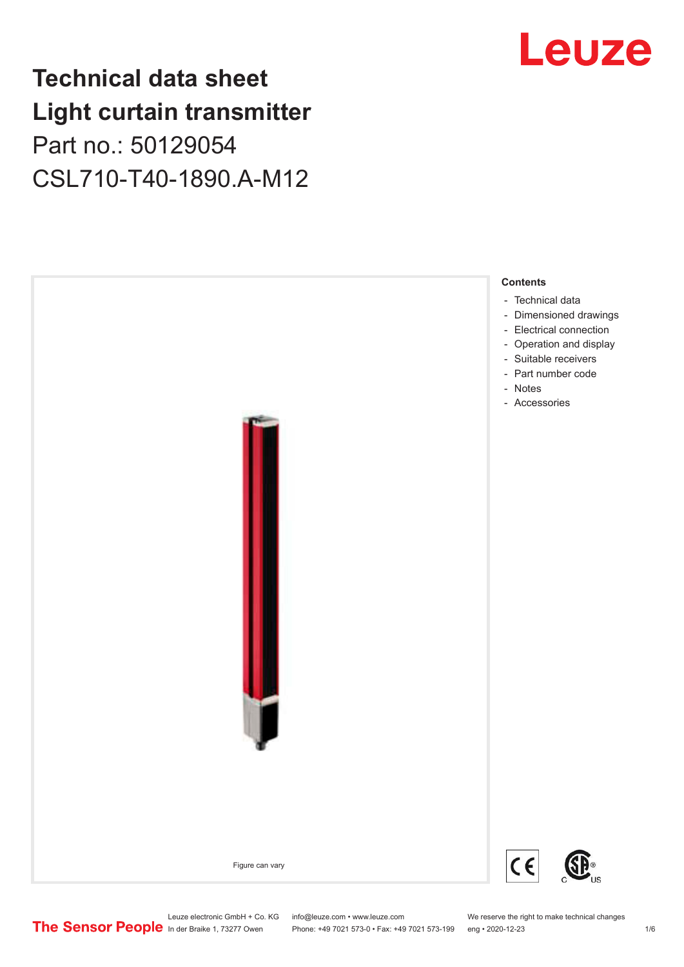## **Technical data sheet Light curtain transmitter** Part no.: 50129054 CSL710-T40-1890.A-M12



## Leuze

Leuze electronic GmbH + Co. KG info@leuze.com • www.leuze.com We reserve the right to make technical changes<br>
The Sensor People in der Braike 1, 73277 Owen Phone: +49 7021 573-0 • Fax: +49 7021 573-199 eng • 2020-12-23

Phone: +49 7021 573-0 • Fax: +49 7021 573-199 eng • 2020-12-23 1 76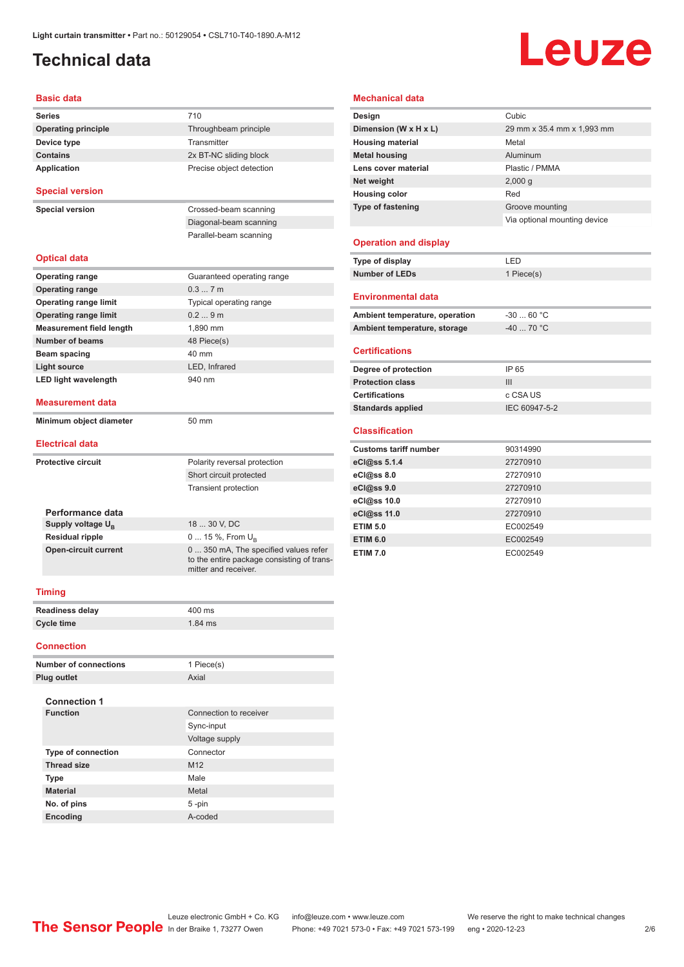## <span id="page-1-0"></span>**Technical data**

## Leuze

#### **Basic data**

| <b>Series</b>                   | 710                                                                                                        |
|---------------------------------|------------------------------------------------------------------------------------------------------------|
| <b>Operating principle</b>      | Throughbeam principle                                                                                      |
| Device type                     | Transmitter                                                                                                |
| <b>Contains</b>                 | 2x BT-NC sliding block                                                                                     |
| Application                     | Precise object detection                                                                                   |
| <b>Special version</b>          |                                                                                                            |
| <b>Special version</b>          | Crossed-beam scanning                                                                                      |
|                                 | Diagonal-beam scanning                                                                                     |
|                                 | Parallel-beam scanning                                                                                     |
| <b>Optical data</b>             |                                                                                                            |
| <b>Operating range</b>          | Guaranteed operating range                                                                                 |
| <b>Operating range</b>          | 0.37m                                                                                                      |
| <b>Operating range limit</b>    | Typical operating range                                                                                    |
| <b>Operating range limit</b>    | 0.29m                                                                                                      |
| <b>Measurement field length</b> | 1.890 mm                                                                                                   |
| <b>Number of beams</b>          | 48 Piece(s)                                                                                                |
| <b>Beam spacing</b>             | 40 mm                                                                                                      |
| <b>Light source</b>             | LED, Infrared                                                                                              |
| <b>LED light wavelength</b>     | 940 nm                                                                                                     |
| <b>Measurement data</b>         |                                                                                                            |
| Minimum object diameter         | 50 mm                                                                                                      |
| <b>Electrical data</b>          |                                                                                                            |
| <b>Protective circuit</b>       | Polarity reversal protection                                                                               |
|                                 | Short circuit protected                                                                                    |
|                                 | <b>Transient protection</b>                                                                                |
| Performance data                |                                                                                                            |
| Supply voltage $U_{\rm B}$      | 18  30 V, DC                                                                                               |
| <b>Residual ripple</b>          | 0  15 %, From $U_{B}$                                                                                      |
| <b>Open-circuit current</b>     | 0 350 mA, The specified values refer<br>to the entire package consisting of trans-<br>mitter and receiver. |
| <b>Timing</b>                   |                                                                                                            |
| Readiness delay                 | 400 ms                                                                                                     |
| <b>Cycle time</b>               | $1.84$ ms                                                                                                  |
| <b>Connection</b>               |                                                                                                            |
| <b>Number of connections</b>    | 1 Piece(s)                                                                                                 |

### **Plug outlet** Axial **Connection 1 Connection** to receiver Sync-input Voltage supply **Type of connection** Connector **Thread size** M12 **Type** Male **Material** Metal **No. of pins** 5 -pin **Encoding** A-coded

### **Mechanical data**

| Cubic                        |  |
|------------------------------|--|
| 29 mm x 35.4 mm x 1,993 mm   |  |
| Metal                        |  |
| Aluminum                     |  |
| Plastic / PMMA               |  |
| 2,000q                       |  |
| Red                          |  |
| Groove mounting              |  |
| Via optional mounting device |  |
|                              |  |
| LED                          |  |
| 1 Piece(s)                   |  |
|                              |  |
| $-3060 °C$                   |  |
| $-40$ 70 °C                  |  |
|                              |  |

#### **Certifications**

| Degree of protection     | IP 65         |
|--------------------------|---------------|
| <b>Protection class</b>  | Ш             |
| <b>Certifications</b>    | c CSA US      |
| <b>Standards applied</b> | IEC 60947-5-2 |
|                          |               |

#### **Classification**

| <b>Customs tariff number</b> | 90314990 |
|------------------------------|----------|
| eCl@ss 5.1.4                 | 27270910 |
| eCl@ss 8.0                   | 27270910 |
| eCl@ss 9.0                   | 27270910 |
| eCl@ss 10.0                  | 27270910 |
| eCl@ss 11.0                  | 27270910 |
| <b>ETIM 5.0</b>              | EC002549 |
| <b>ETIM 6.0</b>              | EC002549 |
| <b>ETIM 7.0</b>              | EC002549 |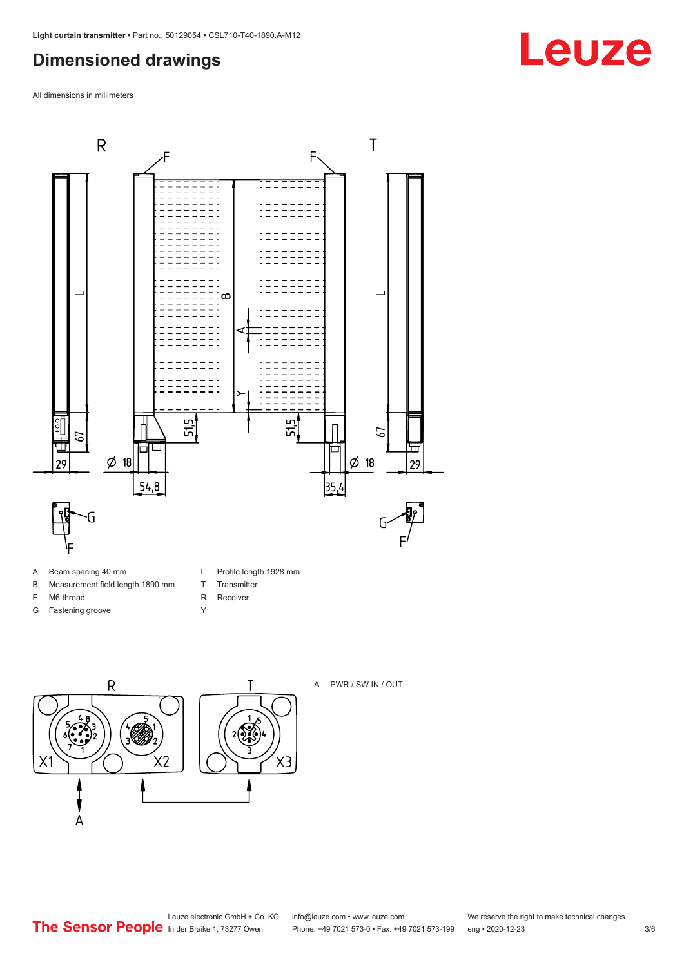### <span id="page-2-0"></span>**Dimensioned drawings**

All dimensions in millimeters



- A Beam spacing 40 mm
- B Measurement field length 1890 mm
- F M6 thread
- G Fastening groove
- L Profile length 1928 mm
- T Transmitter
- R Receiver
- Y





#### A PWR / SW IN / OUT

Leuze electronic GmbH + Co. KG info@leuze.com • www.leuze.com We reserve the right to make technical changes<br>
The Sensor People in der Braike 1, 73277 Owen Phone: +49 7021 573-0 • Fax: +49 7021 573-199 eng • 2020-12-23

Phone: +49 7021 573-0 • Fax: +49 7021 573-199 eng • 2020-12-23 3/6

## **Leuze**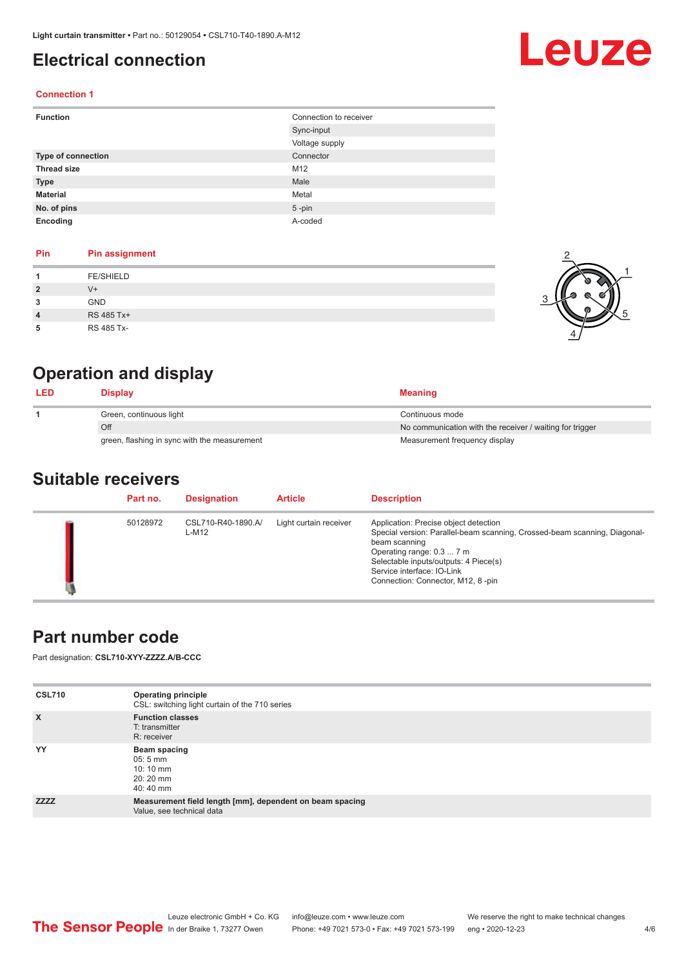## <span id="page-3-0"></span>**Electrical connection**

# Leuze

2

1

5

### **Connection 1**

| <b>Function</b>           | Connection to receiver |  |
|---------------------------|------------------------|--|
|                           | Sync-input             |  |
|                           | Voltage supply         |  |
| <b>Type of connection</b> | Connector              |  |
| <b>Thread size</b>        | M12                    |  |
| <b>Type</b>               | Male                   |  |
| <b>Material</b>           | Metal                  |  |
| No. of pins               | $5$ -pin               |  |
| Encoding                  | A-coded                |  |

### **Pin Pin assignment**

|   | <b>FE/SHIELD</b> | o |
|---|------------------|---|
| 2 | $V^+$            |   |
| 3 | GND              |   |
| 4 | RS 485 Tx+       | ത |
| 5 | RS 485 Tx-       |   |

## **Operation and display**

| <b>LED</b> | <b>Display</b>                               | <b>Meaning</b>                                           |
|------------|----------------------------------------------|----------------------------------------------------------|
|            | Green, continuous light                      | Continuous mode                                          |
|            | Off                                          | No communication with the receiver / waiting for trigger |
|            | green, flashing in sync with the measurement | Measurement frequency display                            |

### **Suitable receivers**

| Part no. | <b>Designation</b>          | <b>Article</b>         | <b>Description</b>                                                                                                                                                                                                                                                           |
|----------|-----------------------------|------------------------|------------------------------------------------------------------------------------------------------------------------------------------------------------------------------------------------------------------------------------------------------------------------------|
| 50128972 | CSL710-R40-1890.A/<br>L-M12 | Light curtain receiver | Application: Precise object detection<br>Special version: Parallel-beam scanning, Crossed-beam scanning, Diagonal-<br>beam scanning<br>Operating range: 0.3  7 m<br>Selectable inputs/outputs: 4 Piece(s)<br>Service interface: IO-Link<br>Connection: Connector, M12, 8-pin |

### **Part number code**

Part designation: **CSL710-XYY-ZZZZ.A/B-CCC**

| <b>CSL710</b> | <b>Operating principle</b><br>CSL: switching light curtain of the 710 series          |
|---------------|---------------------------------------------------------------------------------------|
| $\mathsf{x}$  | <b>Function classes</b><br>T: transmitter<br>R: receiver                              |
| YY            | Beam spacing<br>$05:5 \, \text{mm}$<br>$10:10 \, \text{mm}$<br>$20:20$ mm<br>40:40 mm |
| <b>ZZZZ</b>   | Measurement field length [mm], dependent on beam spacing<br>Value, see technical data |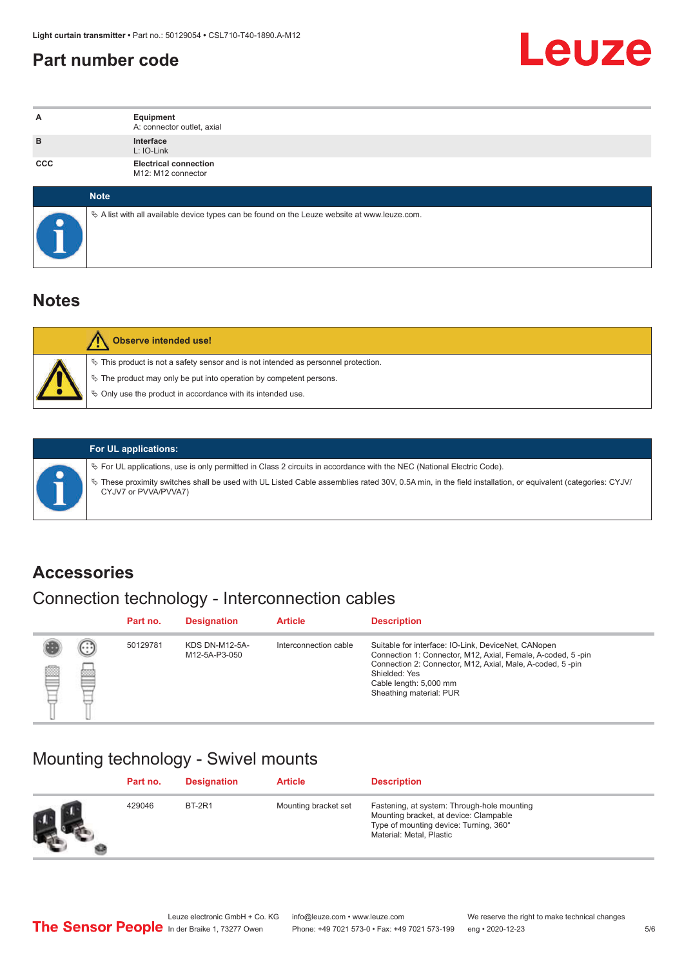### <span id="page-4-0"></span>**Part number code**



| A          | Equipment<br>A: connector outlet, axial                                                         |
|------------|-------------------------------------------------------------------------------------------------|
| B          | Interface<br>L: IO-Link                                                                         |
| <b>CCC</b> | <b>Electrical connection</b><br>M12: M12 connector                                              |
|            | <b>Note</b>                                                                                     |
|            | $\&$ A list with all available device types can be found on the Leuze website at www.leuze.com. |

### **Notes**

| <b>Observe intended use!</b>                                                                                                                                                                                                  |
|-------------------------------------------------------------------------------------------------------------------------------------------------------------------------------------------------------------------------------|
| $\%$ This product is not a safety sensor and is not intended as personnel protection.<br>↓ The product may only be put into operation by competent persons.<br>$\%$ Only use the product in accordance with its intended use. |

ª These proximity switches shall be used with UL Listed Cable assemblies rated 30V, 0.5A min, in the field installation, or equivalent (categories: CYJV/

ª For UL applications, use is only permitted in Class 2 circuits in accordance with the NEC (National Electric Code).

**For UL applications:**

CYJV7 or PVVA/PVVA7)

### **Accessories**

### Connection technology - Interconnection cables

|   |        | Part no. | <b>Designation</b>                     | <b>Article</b>        | <b>Description</b>                                                                                                                                                                                                                                    |
|---|--------|----------|----------------------------------------|-----------------------|-------------------------------------------------------------------------------------------------------------------------------------------------------------------------------------------------------------------------------------------------------|
| Ø | ⊙<br>陘 | 50129781 | <b>KDS DN-M12-5A-</b><br>M12-5A-P3-050 | Interconnection cable | Suitable for interface: IO-Link, DeviceNet, CANopen<br>Connection 1: Connector, M12, Axial, Female, A-coded, 5-pin<br>Connection 2: Connector, M12, Axial, Male, A-coded, 5-pin<br>Shielded: Yes<br>Cable length: 5,000 mm<br>Sheathing material: PUR |

### Mounting technology - Swivel mounts

| Part no. | <b>Designation</b> | <b>Article</b>       | <b>Description</b>                                                                                                                                          |
|----------|--------------------|----------------------|-------------------------------------------------------------------------------------------------------------------------------------------------------------|
| 429046   | <b>BT-2R1</b>      | Mounting bracket set | Fastening, at system: Through-hole mounting<br>Mounting bracket, at device: Clampable<br>Type of mounting device: Turning, 360°<br>Material: Metal, Plastic |